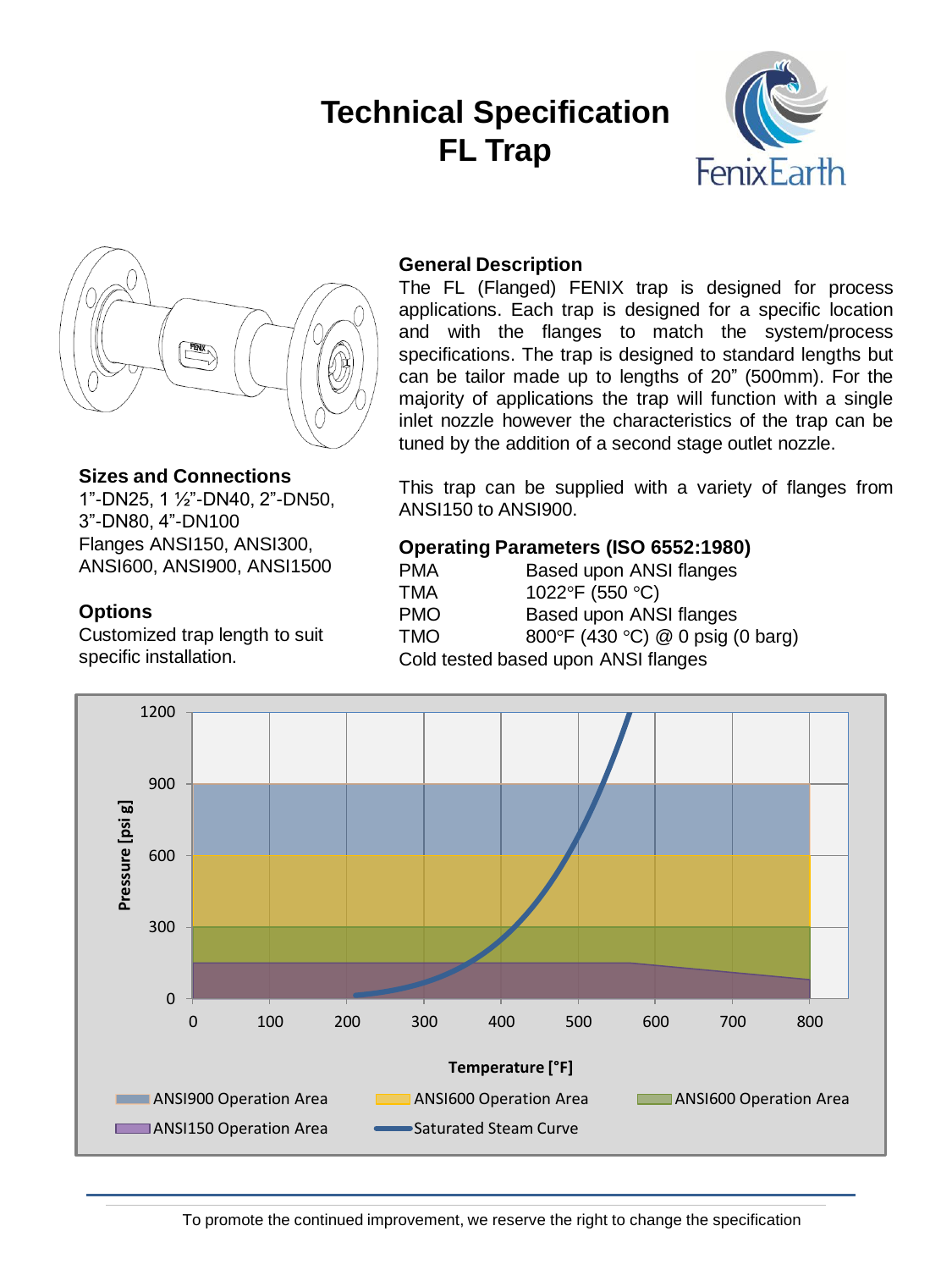# **Technical Specification FL Trap**





### **Sizes and Connections**

1"-DN25, 1 ½"-DN40, 2"-DN50, 3"-DN80, 4"-DN100 Flanges ANSI150, ANSI300, ANSI600, ANSI900, ANSI1500

### **Options**

Customized trap length to suit specific installation.

# **General Description**

The FL (Flanged) FENIX trap is designed for process applications. Each trap is designed for a specific location and with the flanges to match the system/process specifications. The trap is designed to standard lengths but can be tailor made up to lengths of 20" (500mm). For the majority of applications the trap will function with a single inlet nozzle however the characteristics of the trap can be tuned by the addition of a second stage outlet nozzle.

This trap can be supplied with a variety of flanges from ANSI150 to ANSI900.

# **Operating Parameters (ISO 6552:1980)**

| <b>PMA</b> | Based upon ANSI flanges             |
|------------|-------------------------------------|
| TMA        | 1022°F (550 °C)                     |
| <b>PMO</b> | Based upon ANSI flanges             |
| <b>TMO</b> | 800°F (430 °C) @ 0 psig (0 barg)    |
|            | Cold tested based upon ANSI flanges |